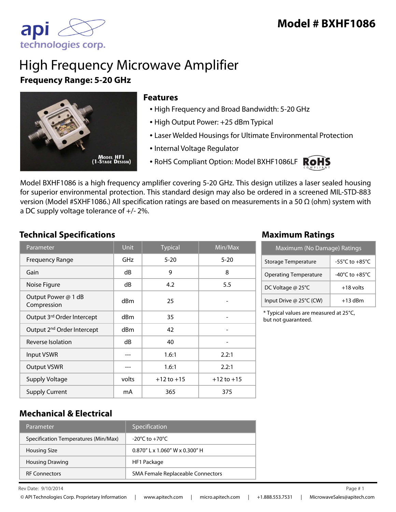

# High Frequency Microwave Amplifier **Frequency Range: 5-20 GHz**



#### **Features**

- High Frequency and Broad Bandwidth: 5-20 GHz
- High Output Power: +25 dBm Typical
- Laser Welded Housings for Ultimate Environmental Protection
- Internal Voltage Regulator
- RoHS Compliant Option: Model BXHF1086LF ROHS



Model BXHF1086 is a high frequency amplifier covering 5-20 GHz. This design utilizes a laser sealed housing for superior environmental protection. This standard design may also be ordered in a screened MIL-STD-883 version (Model #SXHF1086.) All specification ratings are based on measurements in a 50 Ω (ohm) system with a DC supply voltage tolerance of +/- 2%.

#### **Technical Specifications Maximum Ratings**

| Parameter                              | <b>Unit</b>     | <b>Typical</b> | $\overline{\textsf{Min}/\textsf{Max}}$ |
|----------------------------------------|-----------------|----------------|----------------------------------------|
| <b>Frequency Range</b>                 | GHz             | $5 - 20$       | $5 - 20$                               |
| Gain                                   | dB              | 9              | 8                                      |
| Noise Figure                           | dB              | 4.2            | 5.5                                    |
| Output Power @ 1 dB<br>Compression     | d <sub>Bm</sub> | 25             |                                        |
| Output 3rd Order Intercept             | dBm             | 35             |                                        |
| Output 2 <sup>nd</sup> Order Intercept | dBm             | 42             |                                        |
| Reverse Isolation                      | dB              | 40             |                                        |
| <b>Input VSWR</b>                      |                 | 1.6:1          | 2.2:1                                  |
| <b>Output VSWR</b>                     |                 | 1.6:1          | 2.2:1                                  |
| <b>Supply Voltage</b>                  | volts           | $+12$ to $+15$ | $+12$ to $+15$                         |
| <b>Supply Current</b>                  | mA              | 365            | 375                                    |

| Maximum (No Damage) Ratings  |                                      |  |
|------------------------------|--------------------------------------|--|
| Storage Temperature          | -55 $^{\circ}$ C to +85 $^{\circ}$ C |  |
| <b>Operating Temperature</b> | -40 $^{\circ}$ C to +85 $^{\circ}$ C |  |
| DC Voltage @ 25°C            | $+18$ volts                          |  |
| Input Drive @ 25°C (CW)      | $+13$ dBm                            |  |

\* Typical values are measured at 25°C, but not guaranteed.

#### **Mechanical & Electrical**

| Parameter                            | Specification                      |
|--------------------------------------|------------------------------------|
| Specification Temperatures (Min/Max) | $-20^{\circ}$ C to $+70^{\circ}$ C |
| <b>Housing Size</b>                  | $0.870''$ L x 1.060" W x 0.300" H  |
| <b>Housing Drawing</b>               | HF1 Package                        |
| <b>RF Connectors</b>                 | SMA Female Replaceable Connectors  |

Rev Date:  $9/10/2014$  Page #1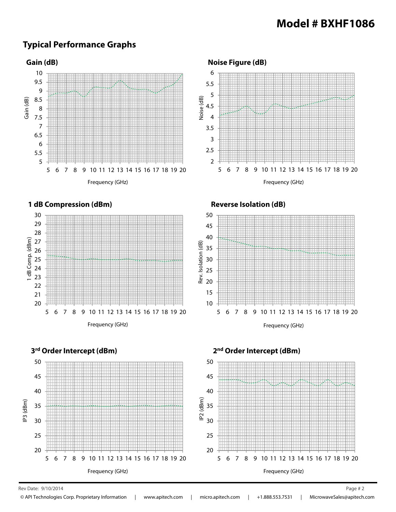#### **Typical Performance Graphs**